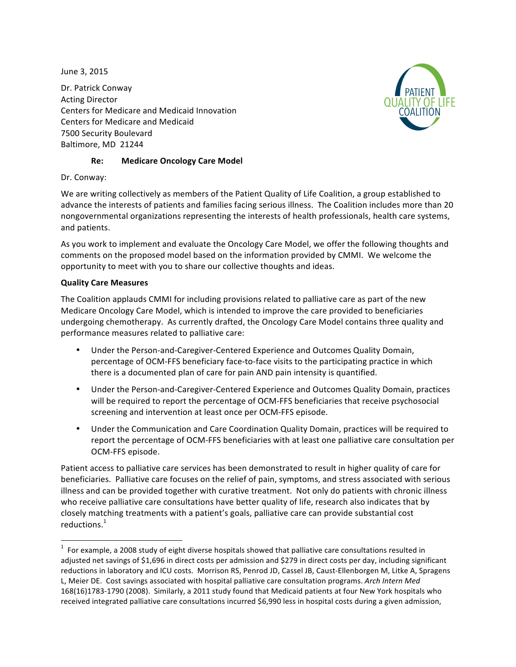June 3, 2015

Dr. Patrick Conway **Acting Director** Centers for Medicare and Medicaid Innovation Centers for Medicare and Medicaid 7500 Security Boulevard Baltimore, MD 21244



# **Re: Medicare Oncology Care Model**

Dr. Conway:

We are writing collectively as members of the Patient Quality of Life Coalition, a group established to advance the interests of patients and families facing serious illness. The Coalition includes more than 20 nongovernmental organizations representing the interests of health professionals, health care systems, and patients.

As you work to implement and evaluate the Oncology Care Model, we offer the following thoughts and comments on the proposed model based on the information provided by CMMI. We welcome the opportunity to meet with you to share our collective thoughts and ideas.

## **Quality Care Measures**

 

The Coalition applauds CMMI for including provisions related to palliative care as part of the new Medicare Oncology Care Model, which is intended to improve the care provided to beneficiaries undergoing chemotherapy. As currently drafted, the Oncology Care Model contains three quality and performance measures related to palliative care:

- Under the Person-and-Caregiver-Centered Experience and Outcomes Quality Domain, percentage of OCM-FFS beneficiary face-to-face visits to the participating practice in which there is a documented plan of care for pain AND pain intensity is quantified.
- Under the Person-and-Caregiver-Centered Experience and Outcomes Quality Domain, practices will be required to report the percentage of OCM-FFS beneficiaries that receive psychosocial screening and intervention at least once per OCM-FFS episode.
- Under the Communication and Care Coordination Quality Domain, practices will be required to report the percentage of OCM-FFS beneficiaries with at least one palliative care consultation per OCM-FFS episode.

Patient access to palliative care services has been demonstrated to result in higher quality of care for beneficiaries. Palliative care focuses on the relief of pain, symptoms, and stress associated with serious illness and can be provided together with curative treatment. Not only do patients with chronic illness who receive palliative care consultations have better quality of life, research also indicates that by closely matching treatments with a patient's goals, palliative care can provide substantial cost reductions.<sup>1</sup>

 $<sup>1</sup>$  For example, a 2008 study of eight diverse hospitals showed that palliative care consultations resulted in</sup> adjusted net savings of \$1,696 in direct costs per admission and \$279 in direct costs per day, including significant reductions in laboratory and ICU costs. Morrison RS, Penrod JD, Cassel JB, Caust-Ellenborgen M, Litke A, Spragens L, Meier DE. Cost savings associated with hospital palliative care consultation programs. Arch Intern Med 168(16)1783-1790 (2008). Similarly, a 2011 study found that Medicaid patients at four New York hospitals who received integrated palliative care consultations incurred \$6,990 less in hospital costs during a given admission,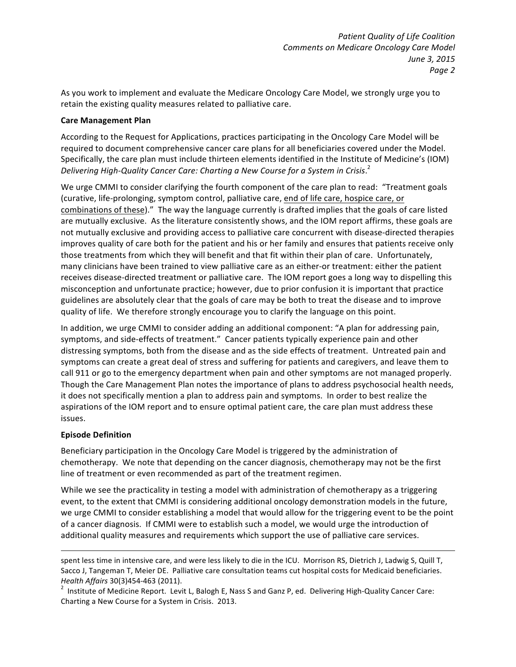As you work to implement and evaluate the Medicare Oncology Care Model, we strongly urge you to retain the existing quality measures related to palliative care.

### **Care Management Plan**

According to the Request for Applications, practices participating in the Oncology Care Model will be required to document comprehensive cancer care plans for all beneficiaries covered under the Model. Specifically, the care plan must include thirteen elements identified in the Institute of Medicine's (IOM) Delivering High-Quality Cancer Care: Charting a New Course for a System in Crisis.<sup>2</sup>

We urge CMMI to consider clarifying the fourth component of the care plan to read: "Treatment goals (curative, life-prolonging, symptom control, palliative care, end of life care, hospice care, or combinations of these)." The way the language currently is drafted implies that the goals of care listed are mutually exclusive. As the literature consistently shows, and the IOM report affirms, these goals are not mutually exclusive and providing access to palliative care concurrent with disease-directed therapies improves quality of care both for the patient and his or her family and ensures that patients receive only those treatments from which they will benefit and that fit within their plan of care. Unfortunately, many clinicians have been trained to view palliative care as an either-or treatment: either the patient receives disease-directed treatment or palliative care. The IOM report goes a long way to dispelling this misconception and unfortunate practice; however, due to prior confusion it is important that practice guidelines are absolutely clear that the goals of care may be both to treat the disease and to improve quality of life. We therefore strongly encourage you to clarify the language on this point.

In addition, we urge CMMI to consider adding an additional component: "A plan for addressing pain, symptoms, and side-effects of treatment." Cancer patients typically experience pain and other distressing symptoms, both from the disease and as the side effects of treatment. Untreated pain and symptoms can create a great deal of stress and suffering for patients and caregivers, and leave them to call 911 or go to the emergency department when pain and other symptoms are not managed properly. Though the Care Management Plan notes the importance of plans to address psychosocial health needs, it does not specifically mention a plan to address pain and symptoms. In order to best realize the aspirations of the IOM report and to ensure optimal patient care, the care plan must address these issues.

## **Episode Definition**

Beneficiary participation in the Oncology Care Model is triggered by the administration of chemotherapy. We note that depending on the cancer diagnosis, chemotherapy may not be the first line of treatment or even recommended as part of the treatment regimen.

While we see the practicality in testing a model with administration of chemotherapy as a triggering event, to the extent that CMMI is considering additional oncology demonstration models in the future, we urge CMMI to consider establishing a model that would allow for the triggering event to be the point of a cancer diagnosis. If CMMI were to establish such a model, we would urge the introduction of additional quality measures and requirements which support the use of palliative care services.

<u> 1989 - Andrea Santa Andrea Andrea Andrea Andrea Andrea Andrea Andrea Andrea Andrea Andrea Andrea Andrea Andr</u>

spent less time in intensive care, and were less likely to die in the ICU. Morrison RS, Dietrich J, Ladwig S, Quill T, Sacco J, Tangeman T, Meier DE. Palliative care consultation teams cut hospital costs for Medicaid beneficiaries. *Health Affairs* 30(3)454-463 (2011).

<sup>&</sup>lt;sup>2</sup> Institute of Medicine Report. Levit L, Balogh E, Nass S and Ganz P, ed. Delivering High-Quality Cancer Care: Charting a New Course for a System in Crisis. 2013.